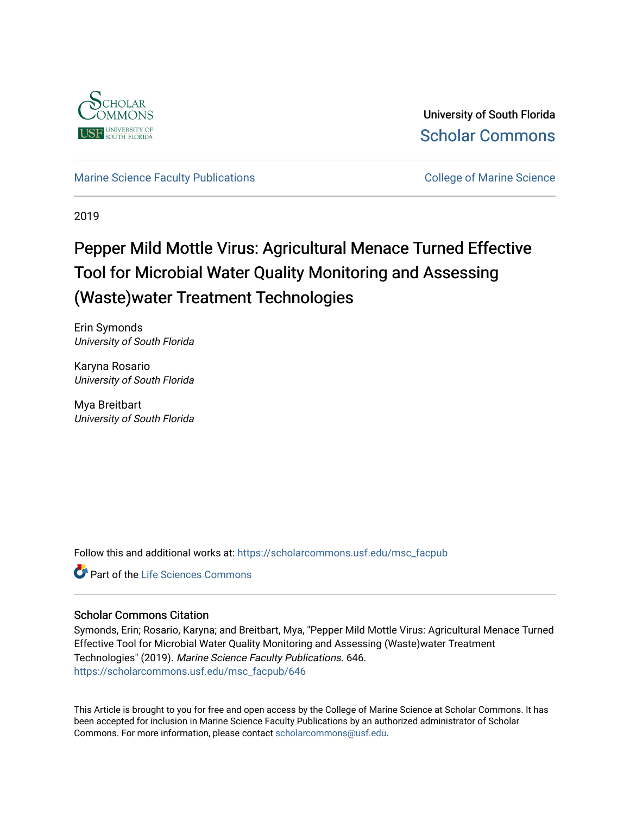

University of South Florida [Scholar Commons](https://scholarcommons.usf.edu/) 

[Marine Science Faculty Publications](https://scholarcommons.usf.edu/msc_facpub) **College of Marine Science** College of Marine Science

2019

# Pepper Mild Mottle Virus: Agricultural Menace Turned Effective Tool for Microbial Water Quality Monitoring and Assessing (Waste)water Treatment Technologies

Erin Symonds University of South Florida

Karyna Rosario University of South Florida

Mya Breitbart University of South Florida

Follow this and additional works at: [https://scholarcommons.usf.edu/msc\\_facpub](https://scholarcommons.usf.edu/msc_facpub?utm_source=scholarcommons.usf.edu%2Fmsc_facpub%2F646&utm_medium=PDF&utm_campaign=PDFCoverPages)

Part of the [Life Sciences Commons](http://network.bepress.com/hgg/discipline/1016?utm_source=scholarcommons.usf.edu%2Fmsc_facpub%2F646&utm_medium=PDF&utm_campaign=PDFCoverPages) 

# Scholar Commons Citation

Symonds, Erin; Rosario, Karyna; and Breitbart, Mya, "Pepper Mild Mottle Virus: Agricultural Menace Turned Effective Tool for Microbial Water Quality Monitoring and Assessing (Waste)water Treatment Technologies" (2019). Marine Science Faculty Publications. 646. [https://scholarcommons.usf.edu/msc\\_facpub/646](https://scholarcommons.usf.edu/msc_facpub/646?utm_source=scholarcommons.usf.edu%2Fmsc_facpub%2F646&utm_medium=PDF&utm_campaign=PDFCoverPages)

This Article is brought to you for free and open access by the College of Marine Science at Scholar Commons. It has been accepted for inclusion in Marine Science Faculty Publications by an authorized administrator of Scholar Commons. For more information, please contact [scholarcommons@usf.edu.](mailto:scholarcommons@usf.edu)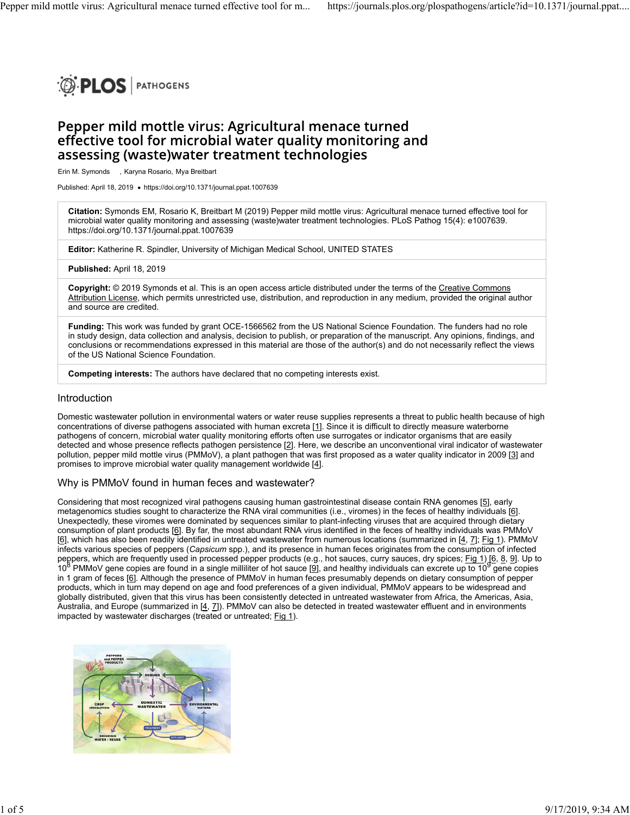

# Pepper mild mottle virus: Agricultural menace turned effective tool for microbial water quality monitoring and assessing (waste) water treatment technologies

Erin M. Symonds , Karyna Rosario, Mya Breitbart

Published: April 18, 2019 · https://doi.org/10.1371/journal.ppat.1007639

**Citation:** Symonds EM, Rosario K, Breitbart M (2019) Pepper mild mottle virus: Agricultural menace turned effective tool for microbial water quality monitoring and assessing (waste)water treatment technologies. PLoS Pathog 15(4): e1007639. https://doi.org/10.1371/journal.ppat.1007639

**Editor:** Katherine R. Spindler, University of Michigan Medical School, UNITED STATES

**Published:** April 18, 2019

**Copyright:** © 2019 Symonds et al. This is an open access article distributed under the terms of the Creative Commons Attribution License, which permits unrestricted use, distribution, and reproduction in any medium, provided the original author and source are credited.

**Funding:** This work was funded by grant OCE-1566562 from the US National Science Foundation. The funders had no role in study design, data collection and analysis, decision to publish, or preparation of the manuscript. Any opinions, findings, and conclusions or recommendations expressed in this material are those of the author(s) and do not necessarily reflect the views of the US National Science Foundation.

**Competing interests:** The authors have declared that no competing interests exist.

#### Introduction

Domestic wastewater pollution in environmental waters or water reuse supplies represents a threat to public health because of high concentrations of diverse pathogens associated with human excreta [1]. Since it is difficult to directly measure waterborne pathogens of concern, microbial water quality monitoring efforts often use surrogates or indicator organisms that are easily detected and whose presence reflects pathogen persistence [2]. Here, we describe an unconventional viral indicator of wastewater pollution, pepper mild mottle virus (PMMoV), a plant pathogen that was first proposed as a water quality indicator in 2009 [3] and promises to improve microbial water quality management worldwide [4].

#### Why is PMMoV found in human feces and wastewater?

Considering that most recognized viral pathogens causing human gastrointestinal disease contain RNA genomes [5], early metagenomics studies sought to characterize the RNA viral communities (i.e., viromes) in the feces of healthy individuals [6]. Unexpectedly, these viromes were dominated by sequences similar to plant-infecting viruses that are acquired through dietary consumption of plant products [6]. By far, the most abundant RNA virus identified in the feces of healthy individuals was PMMoV [6], which has also been readily identified in untreated wastewater from numerous locations (summarized in [4, 7]; Fig 1). PMMoV infects various species of peppers (*Capsicum* spp.), and its presence in human feces originates from the consumption of infected peppers, which are frequently used in processed pepper products (e.g., hot sauces, curry sauces, dry spices; <u>Fig 1) [6, 8, 9</u>]. Up to  $10^8$  PMMoV gene copies are found in a single milliliter of hot sauce [9], and healthy individuals can excrete up to 10 gene copies in 1 gram of feces [6]. Although the presence of PMMoV in human feces presumably depends on dietary consumption of pepper products, which in turn may depend on age and food preferences of a given individual, PMMoV appears to be widespread and globally distributed, given that this virus has been consistently detected in untreated wastewater from Africa, the Americas, Asia, Australia, and Europe (summarized in [4, 7]). PMMoV can also be detected in treated wastewater effluent and in environments impacted by wastewater discharges (treated or untreated; Fig 1).

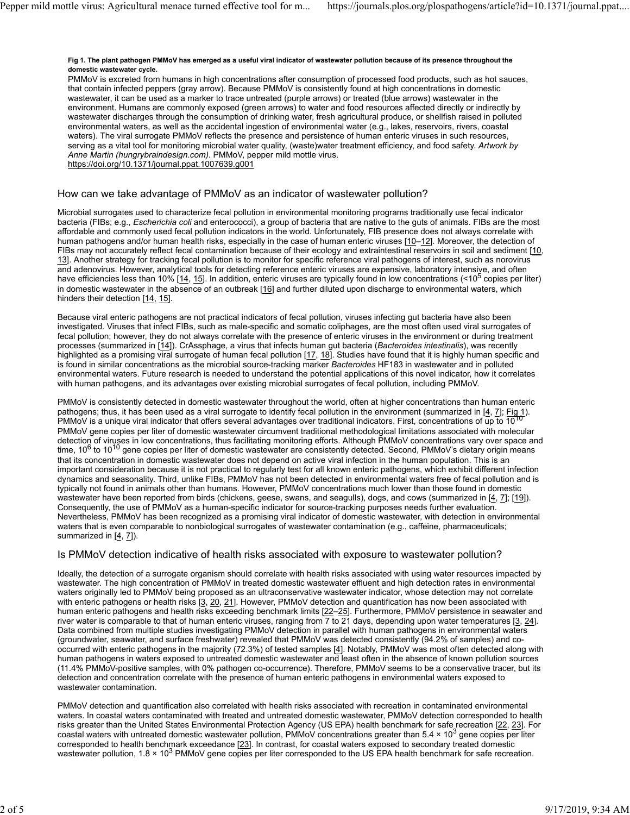#### **Fig 1. The plant pathogen PMMoV has emerged as a useful viral indicator of wastewater pollution because of its presence throughout the domestic wastewater cycle.**

PMMoV is excreted from humans in high concentrations after consumption of processed food products, such as hot sauces, that contain infected peppers (gray arrow). Because PMMoV is consistently found at high concentrations in domestic wastewater, it can be used as a marker to trace untreated (purple arrows) or treated (blue arrows) wastewater in the environment. Humans are commonly exposed (green arrows) to water and food resources affected directly or indirectly by wastewater discharges through the consumption of drinking water, fresh agricultural produce, or shellfish raised in polluted environmental waters, as well as the accidental ingestion of environmental water (e.g., lakes, reservoirs, rivers, coastal waters). The viral surrogate PMMoV reflects the presence and persistence of human enteric viruses in such resources, serving as a vital tool for monitoring microbial water quality, (waste)water treatment efficiency, and food safety. *Artwork by Anne Martin (hungrybraindesign*.*com)*. PMMoV, pepper mild mottle virus. https://doi.org/10.1371/journal.ppat.1007639.g001

## How can we take advantage of PMMoV as an indicator of wastewater pollution?

Microbial surrogates used to characterize fecal pollution in environmental monitoring programs traditionally use fecal indicator bacteria (FIBs; e.g., *Escherichia coli* and enterococci), a group of bacteria that are native to the guts of animals. FIBs are the most affordable and commonly used fecal pollution indicators in the world. Unfortunately, FIB presence does not always correlate with human pathogens and/or human health risks, especially in the case of human enteric viruses [10-12]. Moreover, the detection of FIBs may not accurately reflect fecal contamination because of their ecology and extraintestinal reservoirs in soil and sediment [10, 13]. Another strategy for tracking fecal pollution is to monitor for specific reference viral pathogens of interest, such as norovirus and adenovirus. However, analytical tools for detecting reference enteric viruses are expensive, laboratory intensive, and often have efficiencies less than 10% [<u>14, 15</u>]. In addition, enteric viruses are typically found in low concentrations (<10<sup>5</sup> copies per liter) in domestic wastewater in the absence of an outbreak [16] and further diluted upon discharge to environmental waters, which hinders their detection [14, 15].

Because viral enteric pathogens are not practical indicators of fecal pollution, viruses infecting gut bacteria have also been investigated. Viruses that infect FIBs, such as male-specific and somatic coliphages, are the most often used viral surrogates of fecal pollution; however, they do not always correlate with the presence of enteric viruses in the environment or during treatment processes (summarized in [14]). CrAssphage, a virus that infects human gut bacteria (*Bacteroides intestinalis*), was recently highlighted as a promising viral surrogate of human fecal pollution [17, 18]. Studies have found that it is highly human specific and is found in similar concentrations as the microbial source-tracking marker *Bacteroides* HF183 in wastewater and in polluted environmental waters. Future research is needed to understand the potential applications of this novel indicator, how it correlates with human pathogens, and its advantages over existing microbial surrogates of fecal pollution, including PMMoV.

PMMoV is consistently detected in domestic wastewater throughout the world, often at higher concentrations than human enteric pathogens; thus, it has been used as a viral surrogate to identify fecal pollution in the environment (summarized in [4, 7]; Fig 1). PMMoV is a unique viral indicator that offers several advantages over traditional indicators. First, concentrations of up to 10<sup>10</sup> PMMoV gene copies per liter of domestic wastewater circumvent traditional methodological limitations associated with molecular detection of viruses in low concentrations, thus facilitating monitoring efforts. Although PMMoV concentrations vary over space and time, 10<sup>6</sup> to 10<sup>10</sup> gene copies per liter of domestic wastewater are consistently detected. Second, PMMoV's dietary origin means that its concentration in domestic wastewater does not depend on active viral infection in the human population. This is an important consideration because it is not practical to regularly test for all known enteric pathogens, which exhibit different infection dynamics and seasonality. Third, unlike FIBs, PMMoV has not been detected in environmental waters free of fecal pollution and is typically not found in animals other than humans. However, PMMoV concentrations much lower than those found in domestic wastewater have been reported from birds (chickens, geese, swans, and seagulls), dogs, and cows (summarized in [4, 7]; [19]). Consequently, the use of PMMoV as a human-specific indicator for source-tracking purposes needs further evaluation. Nevertheless, PMMoV has been recognized as a promising viral indicator of domestic wastewater, with detection in environmental waters that is even comparable to nonbiological surrogates of wastewater contamination (e.g., caffeine, pharmaceuticals; summarized in  $[4, 7]$ ).

#### Is PMMoV detection indicative of health risks associated with exposure to wastewater pollution?

Ideally, the detection of a surrogate organism should correlate with health risks associated with using water resources impacted by wastewater. The high concentration of PMMoV in treated domestic wastewater effluent and high detection rates in environmental waters originally led to PMMoV being proposed as an ultraconservative wastewater indicator, whose detection may not correlate with enteric pathogens or health risks [3, 20, 21]. However, PMMoV detection and quantification has now been associated with human enteric pathogens and health risks exceeding benchmark limits [22–25]. Furthermore, PMMoV persistence in seawater and river water is comparable to that of human enteric viruses, ranging from 7 to 21 days, depending upon water temperatures [3, 24]. Data combined from multiple studies investigating PMMoV detection in parallel with human pathogens in environmental waters (groundwater, seawater, and surface freshwater) revealed that PMMoV was detected consistently (94.2% of samples) and cooccurred with enteric pathogens in the majority (72.3%) of tested samples [4]. Notably, PMMoV was most often detected along with human pathogens in waters exposed to untreated domestic wastewater and least often in the absence of known pollution sources (11.4% PMMoV-positive samples, with 0% pathogen co-occurrence). Therefore, PMMoV seems to be a conservative tracer, but its detection and concentration correlate with the presence of human enteric pathogens in environmental waters exposed to wastewater contamination.

PMMoV detection and quantification also correlated with health risks associated with recreation in contaminated environmental waters. In coastal waters contaminated with treated and untreated domestic wastewater, PMMoV detection corresponded to health risks greater than the United States Environmental Protection Agency (US EPA) health benchmark for safe recreation [22, 23]. For coastal waters with untreated domestic wastewater pollution, PMMoV concentrations greater than 5.4 × 10<sup>3</sup> gene copies per liter corresponded to health benchmark exceedance [23]. In contrast, for coastal waters exposed to secondary treated domestic wastewater pollution, 1.8 × 10<sup>3</sup> PMMoV gene copies per liter corresponded to the US EPA health benchmark for safe recreation.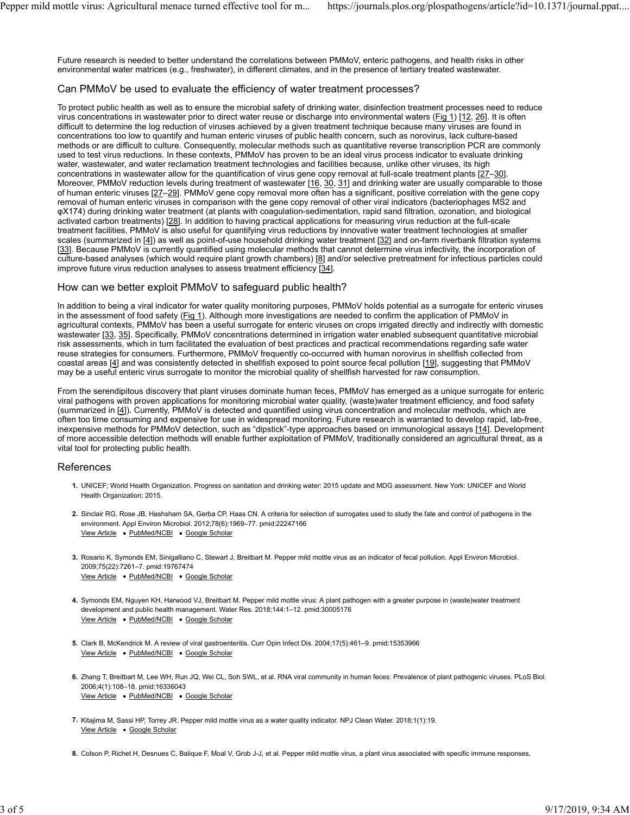Future research is needed to better understand the correlations between PMMoV, enteric pathogens, and health risks in other environmental water matrices (e.g., freshwater), in different climates, and in the presence of tertiary treated wastewater.

#### Can PMMoV be used to evaluate the efficiency of water treatment processes?

To protect public health as well as to ensure the microbial safety of drinking water, disinfection treatment processes need to reduce virus concentrations in wastewater prior to direct water reuse or discharge into environmental waters (Fig 1) [12, 26]. It is often difficult to determine the log reduction of viruses achieved by a given treatment technique because many viruses are found in concentrations too low to quantify and human enteric viruses of public health concern, such as norovirus, lack culture-based methods or are difficult to culture. Consequently, molecular methods such as quantitative reverse transcription PCR are commonly used to test virus reductions. In these contexts, PMMoV has proven to be an ideal virus process indicator to evaluate drinking water, wastewater, and water reclamation treatment technologies and facilities because, unlike other viruses, its high concentrations in wastewater allow for the quantification of virus gene copy removal at full-scale treatment plants [27–30]. Moreover, PMMoV reduction levels during treatment of wastewater [16, 30, 31] and drinking water are usually comparable to those of human enteric viruses [27–29]. PMMoV gene copy removal more often has a significant, positive correlation with the gene copy removal of human enteric viruses in comparison with the gene copy removal of other viral indicators (bacteriophages MS2 and φX174) during drinking water treatment (at plants with coagulation-sedimentation, rapid sand filtration, ozonation, and biological activated carbon treatments) [28]. In addition to having practical applications for measuring virus reduction at the full-scale treatment facilities, PMMoV is also useful for quantifying virus reductions by innovative water treatment technologies at smaller scales (summarized in [4]) as well as point-of-use household drinking water treatment [32] and on-farm riverbank filtration systems [33]. Because PMMoV is currently quantified using molecular methods that cannot determine virus infectivity, the incorporation of culture-based analyses (which would require plant growth chambers) [8] and/or selective pretreatment for infectious particles could improve future virus reduction analyses to assess treatment efficiency [34].

### How can we better exploit PMMoV to safeguard public health?

In addition to being a viral indicator for water quality monitoring purposes, PMMoV holds potential as a surrogate for enteric viruses in the assessment of food safety (Fig 1). Although more investigations are needed to confirm the application of PMMoV in agricultural contexts, PMMoV has been a useful surrogate for enteric viruses on crops irrigated directly and indirectly with domestic wastewater [33, 35]. Specifically, PMMoV concentrations determined in irrigation water enabled subsequent quantitative microbial risk assessments, which in turn facilitated the evaluation of best practices and practical recommendations regarding safe water reuse strategies for consumers. Furthermore, PMMoV frequently co-occurred with human norovirus in shellfish collected from coastal areas [4] and was consistently detected in shellfish exposed to point source fecal pollution [19], suggesting that PMMoV may be a useful enteric virus surrogate to monitor the microbial quality of shellfish harvested for raw consumption.

From the serendipitous discovery that plant viruses dominate human feces, PMMoV has emerged as a unique surrogate for enteric viral pathogens with proven applications for monitoring microbial water quality, (waste)water treatment efficiency, and food safety (summarized in [4]). Currently, PMMoV is detected and quantified using virus concentration and molecular methods, which are often too time consuming and expensive for use in widespread monitoring. Future research is warranted to develop rapid, lab-free, inexpensive methods for PMMoV detection, such as "dipstick"-type approaches based on immunological assays [14]. Development of more accessible detection methods will enable further exploitation of PMMoV, traditionally considered an agricultural threat, as a vital tool for protecting public health.

#### References

- **1.** UNICEF; World Health Organization. Progress on sanitation and drinking water: 2015 update and MDG assessment. New York: UNICEF and World Health Organization; 2015.
- **2.** Sinclair RG, Rose JB, Hashsham SA, Gerba CP, Haas CN. A criteria for selection of surrogates used to study the fate and control of pathogens in the View Article . PubMed/NCBI . Google Scholar environment. Appl Environ Microbiol. 2012;78(6):1969–77. pmid:22247166
- **3.** Rosario K, Symonds EM, Sinigalliano C, Stewart J, Breitbart M. Pepper mild mottle virus as an indicator of fecal pollution. Appl Environ Microbiol. View Article . PubMed/NCBI . Google Scholar 2009;75(22):7261–7. pmid:19767474
- **4.** Symonds EM, Nguyen KH, Harwood VJ, Breitbart M. Pepper mild mottle virus: A plant pathogen with a greater purpose in (waste)water treatment View Article . PubMed/NCBI . Google Scholar development and public health management. Water Res. 2018;144:1–12. pmid:30005176
- **5.** Clark B, McKendrick M. A review of viral gastroenteritis. Curr Opin Infect Dis. 2004;17(5):461–9. pmid:15353966 View Article . PubMed/NCBI . Google Scholar
- **6.** Zhang T, Breitbart M, Lee WH, Run JQ, Wei CL, Soh SWL, et al. RNA viral community in human feces: Prevalence of plant pathogenic viruses. PLoS Biol. View Article . PubMed/NCBI . Google Scholar 2006;4(1):108–18. pmid:16336043
- **7.** Kitajima M, Sassi HP, Torrey JR. Pepper mild mottle virus as a water quality indicator. NPJ Clean Water. 2018;1(1):19. View Article . Google Scholar
- **8.** Colson P, Richet H, Desnues C, Balique F, Moal V, Grob J-J, et al. Pepper mild mottle virus, a plant virus associated with specific immune responses,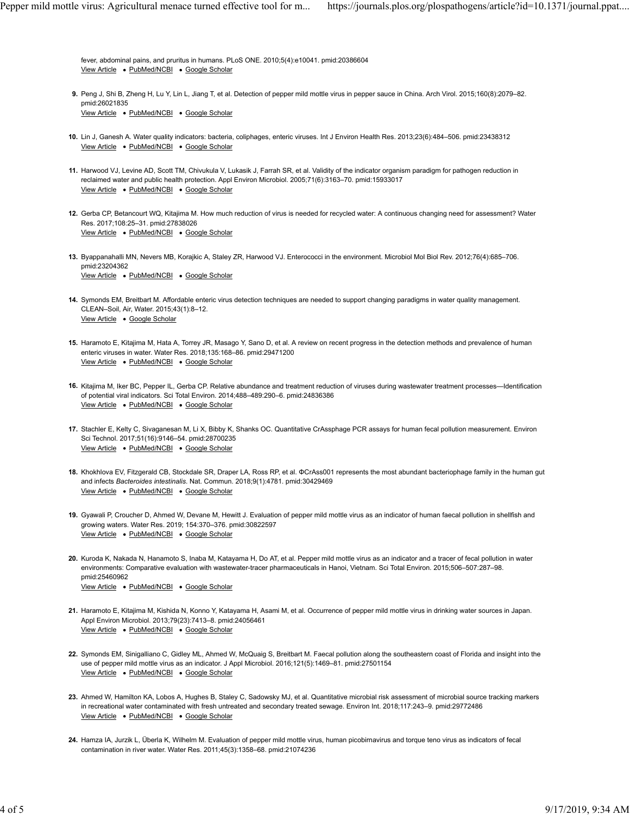View Article . PubMed/NCBI . Google Scholar fever, abdominal pains, and pruritus in humans. PLoS ONE. 2010;5(4):e10041. pmid:20386604

- **9.** Peng J, Shi B, Zheng H, Lu Y, Lin L, Jiang T, et al. Detection of pepper mild mottle virus in pepper sauce in China. Arch Virol. 2015;160(8):2079–82. View Article . PubMed/NCBI . Google Scholar pmid:26021835
- **10.** Lin J, Ganesh A. Water quality indicators: bacteria, coliphages, enteric viruses. Int J Environ Health Res. 2013;23(6):484–506. pmid:23438312 View Article . PubMed/NCBI . Google Scholar
- **11.** Harwood VJ, Levine AD, Scott TM, Chivukula V, Lukasik J, Farrah SR, et al. Validity of the indicator organism paradigm for pathogen reduction in View Article . PubMed/NCBI . Google Scholar reclaimed water and public health protection. Appl Environ Microbiol. 2005;71(6):3163–70. pmid:15933017
- **12.** Gerba CP, Betancourt WQ, Kitajima M. How much reduction of virus is needed for recycled water: A continuous changing need for assessment? Water View Article . PubMed/NCBI . Google Scholar Res. 2017;108:25–31. pmid:27838026
- **13.** Byappanahalli MN, Nevers MB, Korajkic A, Staley ZR, Harwood VJ. Enterococci in the environment. Microbiol Mol Biol Rev. 2012;76(4):685–706. View Article . PubMed/NCBI . Google Scholar pmid:23204362
- **14.** Symonds EM, Breitbart M. Affordable enteric virus detection techniques are needed to support changing paradigms in water quality management. View Article . Google Scholar CLEAN–Soil, Air, Water. 2015;43(1):8–12.
- **15.** Haramoto E, Kitajima M, Hata A, Torrey JR, Masago Y, Sano D, et al. A review on recent progress in the detection methods and prevalence of human View Article . PubMed/NCBI . Google Scholar enteric viruses in water. Water Res. 2018;135:168–86. pmid:29471200
- **16.** Kitajima M, Iker BC, Pepper IL, Gerba CP. Relative abundance and treatment reduction of viruses during wastewater treatment processes—Identification View Article . PubMed/NCBI . Google Scholar of potential viral indicators. Sci Total Environ. 2014;488–489:290–6. pmid:24836386
- **17.** Stachler E, Kelty C, Sivaganesan M, Li X, Bibby K, Shanks OC. Quantitative CrAssphage PCR assays for human fecal pollution measurement. Environ View Article . PubMed/NCBI . Google Scholar Sci Technol. 2017;51(16):9146–54. pmid:28700235
- **18.** Khokhlova EV, Fitzgerald CB, Stockdale SR, Draper LA, Ross RP, et al. ΦCrAss001 represents the most abundant bacteriophage family in the human gut View Article . PubMed/NCBI . Google Scholar and infects *Bacteroides intestinalis*. Nat. Commun. 2018;9(1):4781. pmid:30429469
- **19.** Gyawali P, Croucher D, Ahmed W, Devane M, Hewitt J. Evaluation of pepper mild mottle virus as an indicator of human faecal pollution in shellfish and View Article . PubMed/NCBI . Google Scholar growing waters. Water Res. 2019; 154:370–376. pmid:30822597
- **20.** Kuroda K, Nakada N, Hanamoto S, Inaba M, Katayama H, Do AT, et al. Pepper mild mottle virus as an indicator and a tracer of fecal pollution in water View Article . PubMed/NCBI . Google Scholar environments: Comparative evaluation with wastewater-tracer pharmaceuticals in Hanoi, Vietnam. Sci Total Environ. 2015;506–507:287–98. pmid:25460962
- **21.** Haramoto E, Kitajima M, Kishida N, Konno Y, Katayama H, Asami M, et al. Occurrence of pepper mild mottle virus in drinking water sources in Japan. View Article . PubMed/NCBI . Google Scholar Appl Environ Microbiol. 2013;79(23):7413–8. pmid:24056461
- **22.** Symonds EM, Sinigalliano C, Gidley ML, Ahmed W, McQuaig S, Breitbart M. Faecal pollution along the southeastern coast of Florida and insight into the View Article . PubMed/NCBI . Google Scholar use of pepper mild mottle virus as an indicator. J Appl Microbiol. 2016;121(5):1469–81. pmid:27501154
- **23.** Ahmed W, Hamilton KA, Lobos A, Hughes B, Staley C, Sadowsky MJ, et al. Quantitative microbial risk assessment of microbial source tracking markers View Article . PubMed/NCBI . Google Scholar in recreational water contaminated with fresh untreated and secondary treated sewage. Environ Int. 2018;117:243–9. pmid:29772486
- **24.** Hamza IA, Jurzik L, Überla K, Wilhelm M. Evaluation of pepper mild mottle virus, human picobirnavirus and torque teno virus as indicators of fecal contamination in river water. Water Res. 2011;45(3):1358–68. pmid:21074236